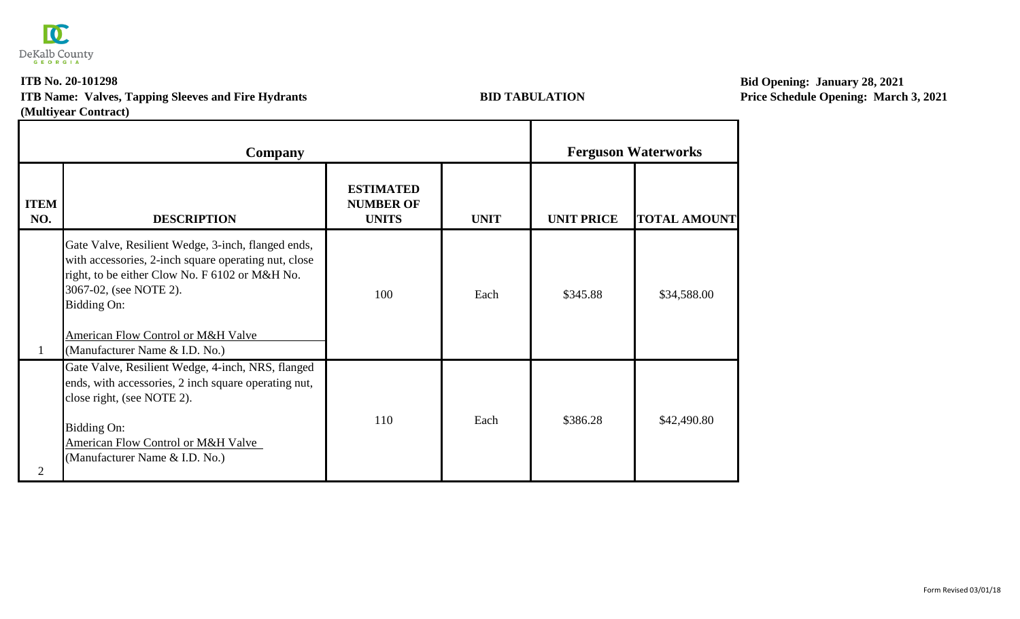

## **ITB No. 20-101298 (Multiyear Contract) ITB Name: Valves, Tapping Sleeves and Fire Hydrants BID TABULATION**

Т

**Bid Opening: January 28, 2021 Price Schedule Opening: March 3, 2021**

┓

|                    | Company                                                                                                                                                                                                                                                                       |                                                      |             |                   | <b>Ferguson Waterworks</b> |  |
|--------------------|-------------------------------------------------------------------------------------------------------------------------------------------------------------------------------------------------------------------------------------------------------------------------------|------------------------------------------------------|-------------|-------------------|----------------------------|--|
| <b>ITEM</b><br>NO. | <b>DESCRIPTION</b>                                                                                                                                                                                                                                                            | <b>ESTIMATED</b><br><b>NUMBER OF</b><br><b>UNITS</b> | <b>UNIT</b> | <b>UNIT PRICE</b> | <b>TOTAL AMOUNT</b>        |  |
|                    | Gate Valve, Resilient Wedge, 3-inch, flanged ends,<br>with accessories, 2-inch square operating nut, close<br>right, to be either Clow No. F 6102 or M&H No.<br>3067-02, (see NOTE 2).<br>Bidding On:<br>American Flow Control or M&H Valve<br>(Manufacturer Name & I.D. No.) | 100                                                  | Each        | \$345.88          | \$34,588.00                |  |
| $\overline{2}$     | Gate Valve, Resilient Wedge, 4-inch, NRS, flanged<br>ends, with accessories, 2 inch square operating nut,<br>close right, (see NOTE 2).<br>Bidding On:<br><b>American Flow Control or M&amp;H Valve</b><br>(Manufacturer Name & I.D. No.)                                     | 110                                                  | Each        | \$386.28          | \$42,490.80                |  |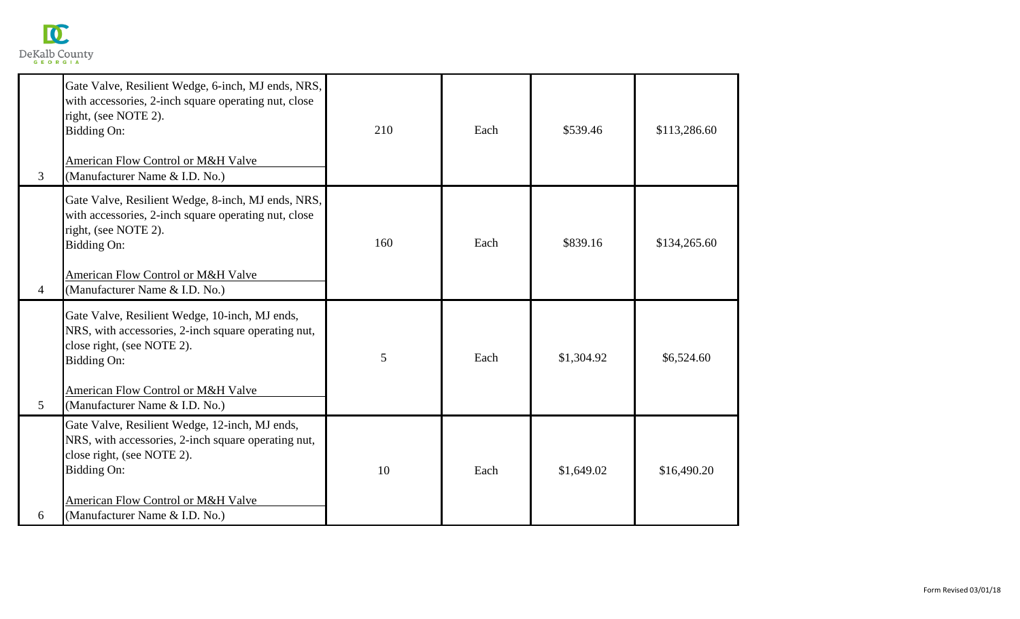

| 3              | Gate Valve, Resilient Wedge, 6-inch, MJ ends, NRS,<br>with accessories, 2-inch square operating nut, close<br>right, (see NOTE 2).<br><b>Bidding On:</b><br><b>American Flow Control or M&amp;H Valve</b><br>(Manufacturer Name & I.D. No.) | 210 | Each | \$539.46   | \$113,286.60 |
|----------------|---------------------------------------------------------------------------------------------------------------------------------------------------------------------------------------------------------------------------------------------|-----|------|------------|--------------|
| 4              | Gate Valve, Resilient Wedge, 8-inch, MJ ends, NRS,<br>with accessories, 2-inch square operating nut, close<br>right, (see NOTE 2).<br>Bidding On:<br><b>American Flow Control or M&amp;H Valve</b><br>(Manufacturer Name & I.D. No.)        | 160 | Each | \$839.16   | \$134,265.60 |
| 5 <sup>5</sup> | Gate Valve, Resilient Wedge, 10-inch, MJ ends,<br>NRS, with accessories, 2-inch square operating nut,<br>close right, (see NOTE 2).<br>Bidding On:<br><b>American Flow Control or M&amp;H Valve</b><br>(Manufacturer Name & I.D. No.)       | 5   | Each | \$1,304.92 | \$6,524.60   |
| 6              | Gate Valve, Resilient Wedge, 12-inch, MJ ends,<br>NRS, with accessories, 2-inch square operating nut,<br>close right, (see NOTE 2).<br>Bidding On:<br>American Flow Control or M&H Valve<br>(Manufacturer Name & I.D. No.)                  | 10  | Each | \$1,649.02 | \$16,490.20  |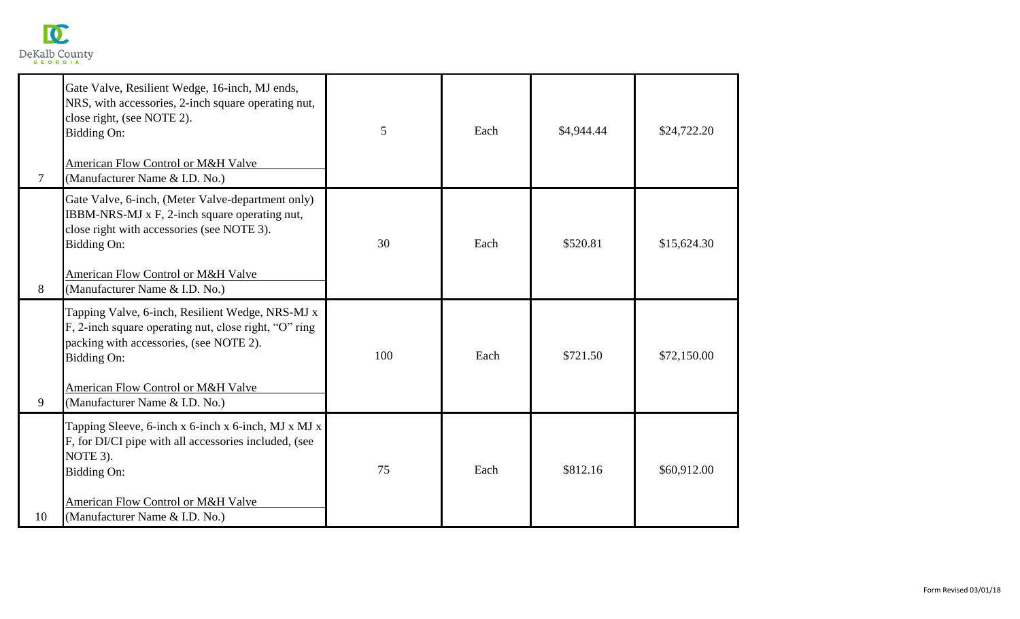

| 7  | Gate Valve, Resilient Wedge, 16-inch, MJ ends,<br>NRS, with accessories, 2-inch square operating nut,<br>close right, (see NOTE 2).<br>Bidding On:<br><b>American Flow Control or M&amp;H Valve</b><br>(Manufacturer Name & I.D. No.)                         | 5   | Each | \$4,944.44 | \$24,722.20 |
|----|---------------------------------------------------------------------------------------------------------------------------------------------------------------------------------------------------------------------------------------------------------------|-----|------|------------|-------------|
| 8  | Gate Valve, 6-inch, (Meter Valve-department only)<br>IBBM-NRS-MJ x F, 2-inch square operating nut,<br>close right with accessories (see NOTE 3).<br>Bidding On:<br>American Flow Control or M&H Valve<br>(Manufacturer Name & I.D. No.)                       | 30  | Each | \$520.81   | \$15,624.30 |
| 9  | Tapping Valve, 6-inch, Resilient Wedge, NRS-MJ x<br>F, 2-inch square operating nut, close right, "O" ring<br>packing with accessories, (see NOTE 2).<br><b>Bidding On:</b><br><b>American Flow Control or M&amp;H Valve</b><br>(Manufacturer Name & I.D. No.) | 100 | Each | \$721.50   | \$72,150.00 |
| 10 | Tapping Sleeve, 6-inch x 6-inch x 6-inch, MJ x MJ x<br>F, for DI/CI pipe with all accessories included, (see<br>NOTE 3).<br>Bidding On:<br>American Flow Control or M&H Valve<br>(Manufacturer Name & I.D. No.)                                               | 75  | Each | \$812.16   | \$60,912.00 |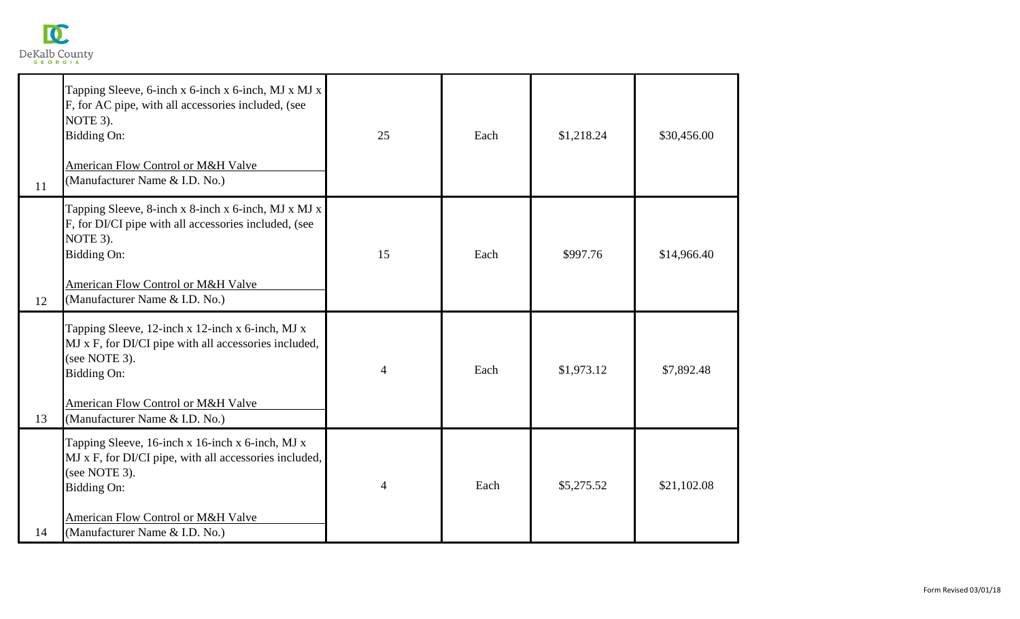

| 11 | Tapping Sleeve, 6-inch x 6-inch x 6-inch, MJ x MJ x<br>F, for AC pipe, with all accessories included, (see<br>NOTE 3).<br>Bidding On:<br>American Flow Control or M&H Valve<br>(Manufacturer Name & I.D. No.)                     | 25             | Each | \$1,218.24 | \$30,456.00 |
|----|-----------------------------------------------------------------------------------------------------------------------------------------------------------------------------------------------------------------------------------|----------------|------|------------|-------------|
| 12 | Tapping Sleeve, 8-inch x 8-inch x 6-inch, MJ x MJ x<br>F, for DI/CI pipe with all accessories included, (see<br>NOTE 3).<br><b>Bidding On:</b><br><b>American Flow Control or M&amp;H Valve</b><br>(Manufacturer Name & I.D. No.) | 15             | Each | \$997.76   | \$14,966.40 |
| 13 | Tapping Sleeve, 12-inch x 12-inch x 6-inch, MJ x<br>MJ x F, for DI/CI pipe with all accessories included,<br>(see NOTE 3).<br>Bidding On:<br>American Flow Control or M&H Valve<br>(Manufacturer Name & I.D. No.)                 | $\overline{4}$ | Each | \$1,973.12 | \$7,892.48  |
| 14 | Tapping Sleeve, 16-inch x 16-inch x 6-inch, MJ x<br>MJ x F, for DI/CI pipe, with all accessories included,<br>(see NOTE 3).<br>Bidding On:<br>American Flow Control or M&H Valve<br>(Manufacturer Name & I.D. No.)                | 4              | Each | \$5,275.52 | \$21,102.08 |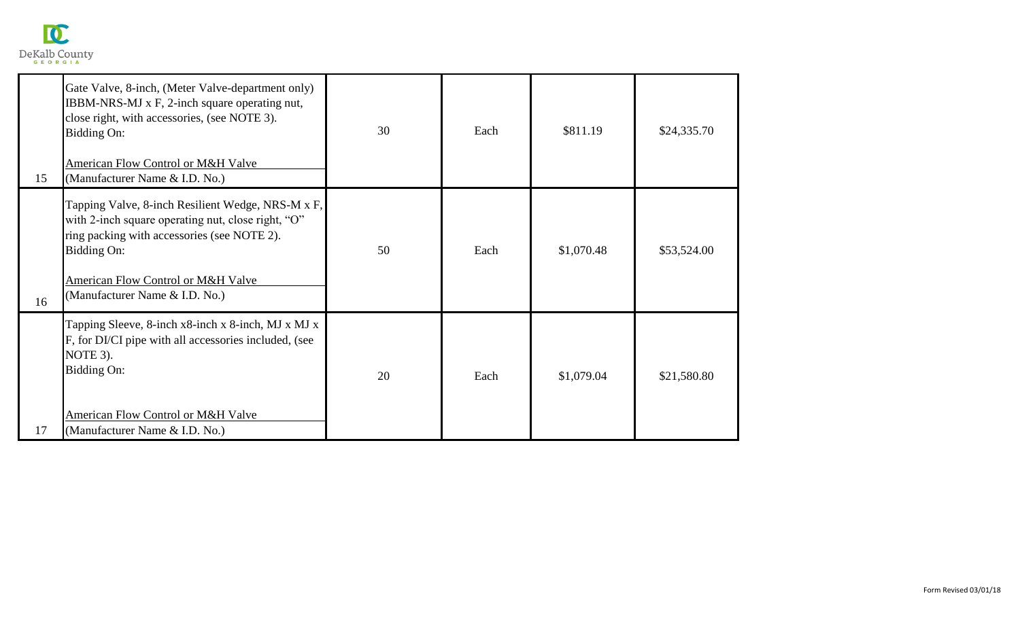

| 15 | Gate Valve, 8-inch, (Meter Valve-department only)<br>IBBM-NRS-MJ x F, 2-inch square operating nut,<br>close right, with accessories, (see NOTE 3).<br>Bidding On:<br>American Flow Control or M&H Valve<br>(Manufacturer Name & I.D. No.)     | 30 | Each | \$811.19   | \$24,335.70 |
|----|-----------------------------------------------------------------------------------------------------------------------------------------------------------------------------------------------------------------------------------------------|----|------|------------|-------------|
| 16 | Tapping Valve, 8-inch Resilient Wedge, NRS-M x F,<br>with 2-inch square operating nut, close right, "O"<br>ring packing with accessories (see NOTE 2).<br>Bidding On:<br>American Flow Control or M&H Valve<br>(Manufacturer Name & I.D. No.) | 50 | Each | \$1,070.48 | \$53,524.00 |
| 17 | Tapping Sleeve, 8-inch x8-inch x 8-inch, MJ x MJ x<br>F, for DI/CI pipe with all accessories included, (see<br>NOTE 3).<br>Bidding On:<br>American Flow Control or M&H Valve<br>(Manufacturer Name & I.D. No.)                                | 20 | Each | \$1,079.04 | \$21,580.80 |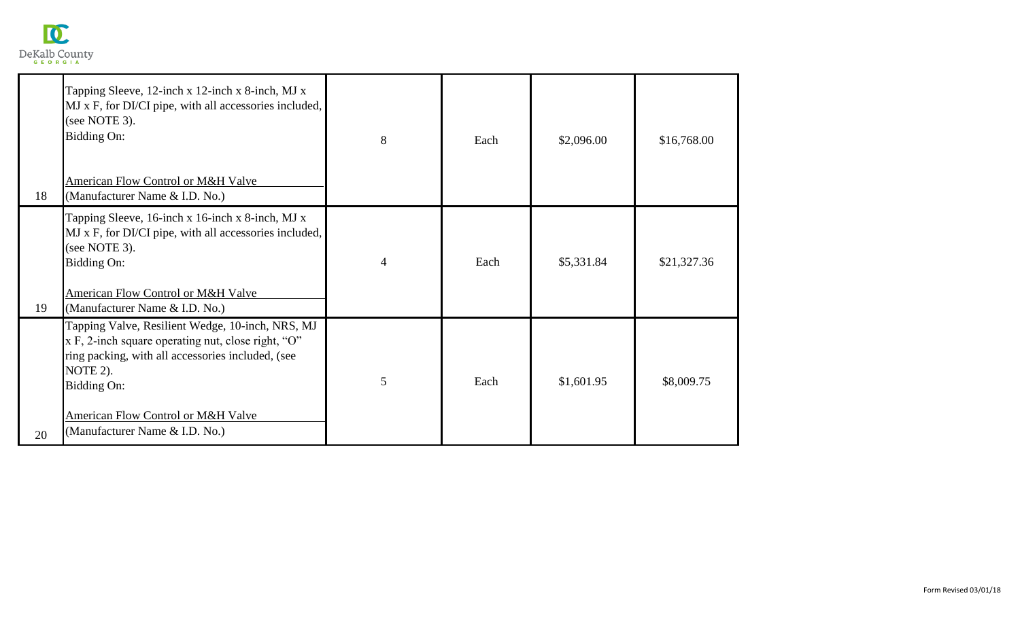

| 18 | Tapping Sleeve, 12-inch x 12-inch x 8-inch, MJ x<br>MJ x F, for DI/CI pipe, with all accessories included,<br>(see NOTE 3).<br><b>Bidding On:</b><br>American Flow Control or M&H Valve<br>(Manufacturer Name & I.D. No.)                                         | 8 | Each | \$2,096.00 | \$16,768.00 |
|----|-------------------------------------------------------------------------------------------------------------------------------------------------------------------------------------------------------------------------------------------------------------------|---|------|------------|-------------|
| 19 | Tapping Sleeve, 16-inch x 16-inch x 8-inch, MJ x<br>MJ x F, for DI/CI pipe, with all accessories included,<br>(see NOTE 3).<br><b>Bidding On:</b><br>American Flow Control or M&H Valve<br>(Manufacturer Name & I.D. No.)                                         | 4 | Each | \$5,331.84 | \$21,327.36 |
| 20 | Tapping Valve, Resilient Wedge, 10-inch, NRS, MJ<br>$x F$ , 2-inch square operating nut, close right, "O"<br>ring packing, with all accessories included, (see<br>NOTE 2).<br>Bidding On:<br>American Flow Control or M&H Valve<br>(Manufacturer Name & I.D. No.) | 5 | Each | \$1,601.95 | \$8,009.75  |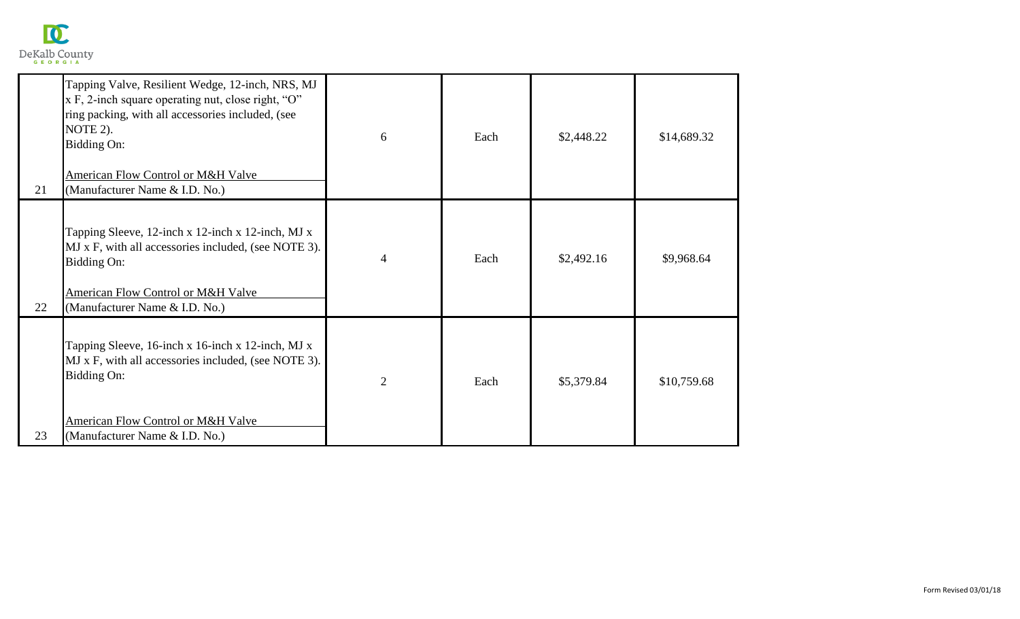

| 21 | Tapping Valve, Resilient Wedge, 12-inch, NRS, MJ<br>x F, 2-inch square operating nut, close right, "O"<br>ring packing, with all accessories included, (see<br>NOTE 2).<br>Bidding On:<br><b>American Flow Control or M&amp;H Valve</b><br>(Manufacturer Name & I.D. No.) | 6              | Each | \$2,448.22 | \$14,689.32 |
|----|---------------------------------------------------------------------------------------------------------------------------------------------------------------------------------------------------------------------------------------------------------------------------|----------------|------|------------|-------------|
| 22 | Tapping Sleeve, 12-inch x 12-inch x 12-inch, MJ x<br>MJ x F, with all accessories included, (see NOTE 3).<br><b>Bidding On:</b><br>American Flow Control or M&H Valve<br>(Manufacturer Name & I.D. No.)                                                                   | 4              | Each | \$2,492.16 | \$9,968.64  |
| 23 | Tapping Sleeve, 16-inch x 16-inch x 12-inch, MJ x<br>MJ x F, with all accessories included, (see NOTE 3).<br>Bidding On:<br>American Flow Control or M&H Valve<br>(Manufacturer Name & I.D. No.)                                                                          | $\overline{2}$ | Each | \$5,379.84 | \$10,759.68 |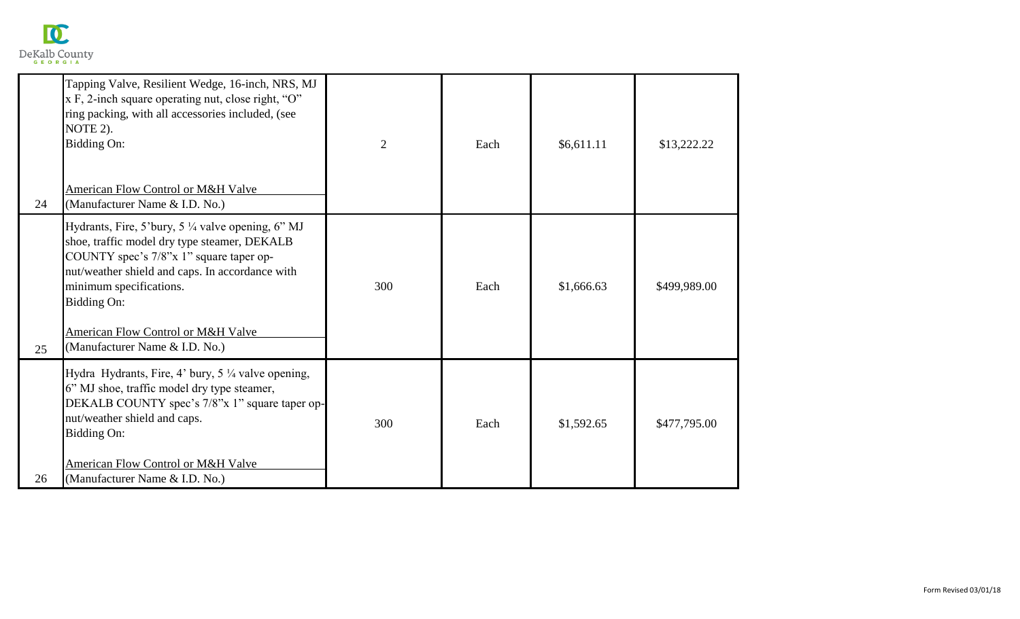

| 24 | Tapping Valve, Resilient Wedge, 16-inch, NRS, MJ<br>x F, 2-inch square operating nut, close right, "O"<br>ring packing, with all accessories included, (see<br>NOTE 2).<br>Bidding On:<br>American Flow Control or M&H Valve<br>(Manufacturer Name & I.D. No.)                                                   | $\overline{2}$ | Each | \$6,611.11 | \$13,222.22  |
|----|------------------------------------------------------------------------------------------------------------------------------------------------------------------------------------------------------------------------------------------------------------------------------------------------------------------|----------------|------|------------|--------------|
| 25 | Hydrants, Fire, 5'bury, 5 ¼ valve opening, 6" MJ<br>shoe, traffic model dry type steamer, DEKALB<br>COUNTY spec's 7/8"x 1" square taper op-<br>nut/weather shield and caps. In accordance with<br>minimum specifications.<br>Bidding On:<br>American Flow Control or M&H Valve<br>(Manufacturer Name & I.D. No.) | 300            | Each | \$1,666.63 | \$499,989.00 |
| 26 | Hydra Hydrants, Fire, 4' bury, 5 1/4 valve opening,<br>6" MJ shoe, traffic model dry type steamer,<br>DEKALB COUNTY spec's 7/8"x 1" square taper op-<br>nut/weather shield and caps.<br>Bidding On:<br>American Flow Control or M&H Valve<br>(Manufacturer Name & I.D. No.)                                      | 300            | Each | \$1,592.65 | \$477,795.00 |